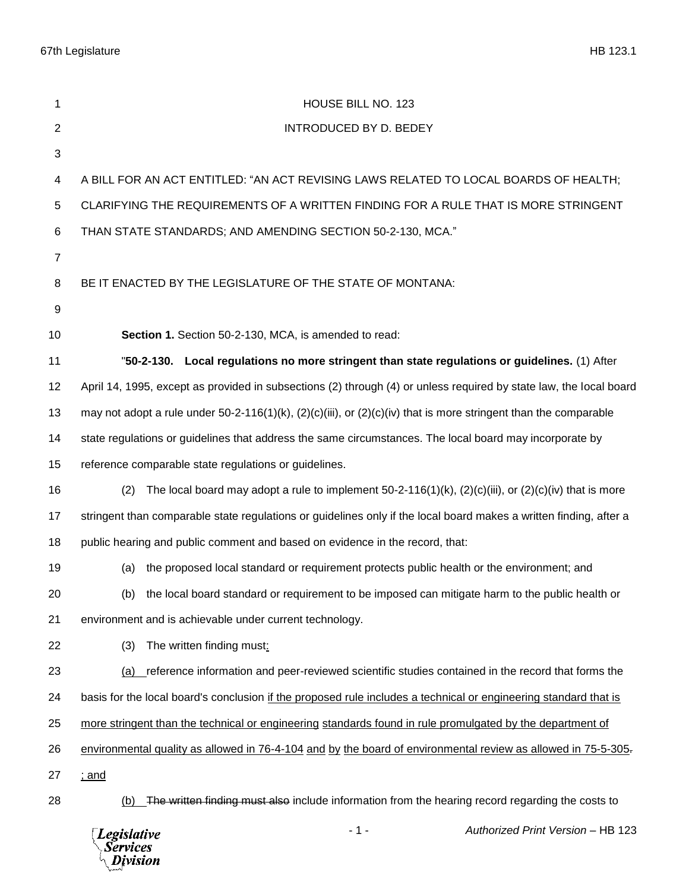67th Legislature HB 123.1

| 1              | HOUSE BILL NO. 123                                                                                                    |
|----------------|-----------------------------------------------------------------------------------------------------------------------|
| $\overline{2}$ | <b>INTRODUCED BY D. BEDEY</b>                                                                                         |
| 3              |                                                                                                                       |
| 4              | A BILL FOR AN ACT ENTITLED: "AN ACT REVISING LAWS RELATED TO LOCAL BOARDS OF HEALTH;                                  |
| 5              | CLARIFYING THE REQUIREMENTS OF A WRITTEN FINDING FOR A RULE THAT IS MORE STRINGENT                                    |
| 6              | THAN STATE STANDARDS; AND AMENDING SECTION 50-2-130, MCA."                                                            |
| $\overline{7}$ |                                                                                                                       |
| 8              | BE IT ENACTED BY THE LEGISLATURE OF THE STATE OF MONTANA:                                                             |
| 9              |                                                                                                                       |
| 10             | Section 1. Section 50-2-130, MCA, is amended to read:                                                                 |
| 11             | "50-2-130. Local regulations no more stringent than state regulations or guidelines. (1) After                        |
| 12             | April 14, 1995, except as provided in subsections (2) through (4) or unless required by state law, the local board    |
| 13             | may not adopt a rule under 50-2-116(1)(k), $(2)(c)(iii)$ , or $(2)(c)(iv)$ that is more stringent than the comparable |
| 14             | state regulations or guidelines that address the same circumstances. The local board may incorporate by               |
| 15             | reference comparable state regulations or guidelines.                                                                 |
| 16             | The local board may adopt a rule to implement $50-2-116(1)(k)$ , $(2)(c)(iii)$ , or $(2)(c)(iv)$ that is more<br>(2)  |
| 17             | stringent than comparable state regulations or guidelines only if the local board makes a written finding, after a    |
| 18             | public hearing and public comment and based on evidence in the record, that:                                          |
| 19             | the proposed local standard or requirement protects public health or the environment; and<br>(a)                      |
| 20             | (b) the local board standard or requirement to be imposed can mitigate harm to the public health or                   |
| 21             | environment and is achievable under current technology.                                                               |
| 22             | The written finding must:<br>(3)                                                                                      |
| 23             | reference information and peer-reviewed scientific studies contained in the record that forms the<br>(a)              |
| 24             | basis for the local board's conclusion if the proposed rule includes a technical or engineering standard that is      |
| 25             | more stringent than the technical or engineering standards found in rule promulgated by the department of             |
| 26             | environmental quality as allowed in 76-4-104 and by the board of environmental review as allowed in 75-5-305-         |
| 27             | <u>; and</u>                                                                                                          |
| 28             | The written finding must also include information from the hearing record regarding the costs to<br>(b)               |